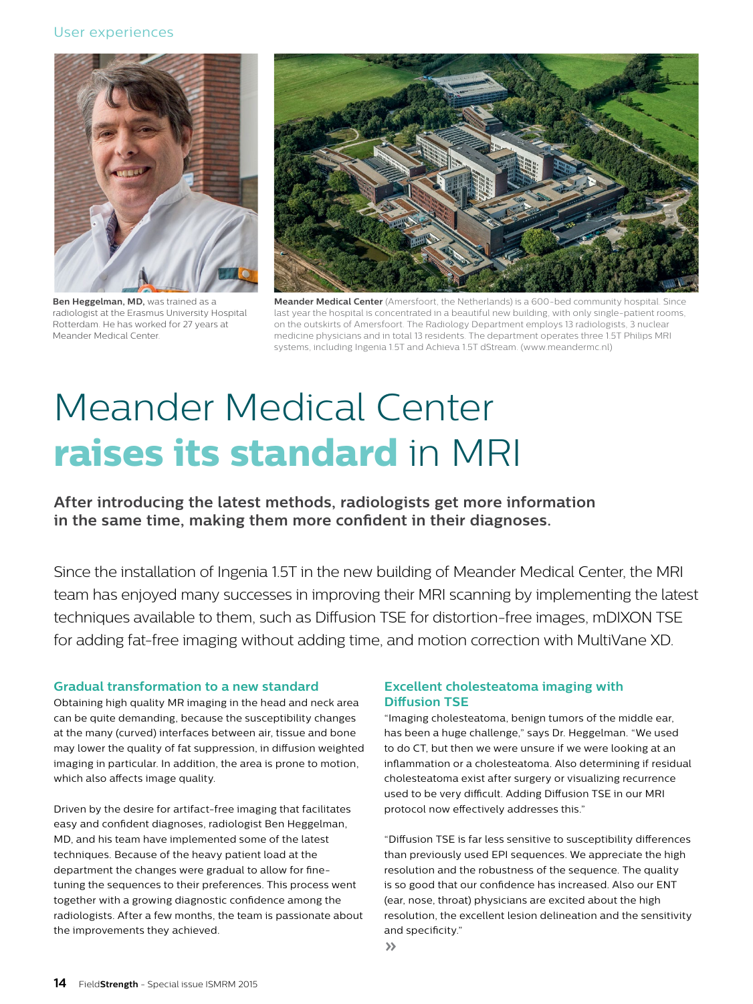### User experiences



**Ben Heggelman, MD,** was trained as a radiologist at the Erasmus University Hospital Rotterdam. He has worked for 27 years at Meander Medical Center.



**Meander Medical Center** (Amersfoort, the Netherlands) is a 600-bed community hospital. Since last year the hospital is concentrated in a beautiful new building, with only single-patient rooms, on the outskirts of Amersfoort. The Radiology Department employs 13 radiologists, 3 nuclear medicine physicians and in total 13 residents. The department operates three 1.5T Philips MRI systems, including Ingenia 1.5T and Achieva 1.5T dStream. (www.meandermc.nl)

# Meander Medical Center **raises its standard** in MRI

**After introducing the latest methods, radiologists get more information in the same time, making them more confident in their diagnoses.**

Since the installation of Ingenia 1.5T in the new building of Meander Medical Center, the MRI team has enjoyed many successes in improving their MRI scanning by implementing the latest techniques available to them, such as Diffusion TSE for distortion-free images, mDIXON TSE for adding fat-free imaging without adding time, and motion correction with MultiVane XD.

#### **Gradual transformation to a new standard**

Obtaining high quality MR imaging in the head and neck area can be quite demanding, because the susceptibility changes at the many (curved) interfaces between air, tissue and bone may lower the quality of fat suppression, in diffusion weighted imaging in particular. In addition, the area is prone to motion, which also affects image quality.

Driven by the desire for artifact-free imaging that facilitates easy and confident diagnoses, radiologist Ben Heggelman, MD, and his team have implemented some of the latest techniques. Because of the heavy patient load at the department the changes were gradual to allow for finetuning the sequences to their preferences. This process went together with a growing diagnostic confidence among the radiologists. After a few months, the team is passionate about the improvements they achieved.

## **Excellent cholesteatoma imaging with Diffusion TSE**

"Imaging cholesteatoma, benign tumors of the middle ear, has been a huge challenge," says Dr. Heggelman. "We used to do CT, but then we were unsure if we were looking at an inflammation or a cholesteatoma. Also determining if residual cholesteatoma exist after surgery or visualizing recurrence used to be very difficult. Adding Diffusion TSE in our MRI protocol now effectively addresses this."

"Diffusion TSE is far less sensitive to susceptibility differences than previously used EPI sequences. We appreciate the high resolution and the robustness of the sequence. The quality is so good that our confidence has increased. Also our ENT (ear, nose, throat) physicians are excited about the high resolution, the excellent lesion delineation and the sensitivity and specificity."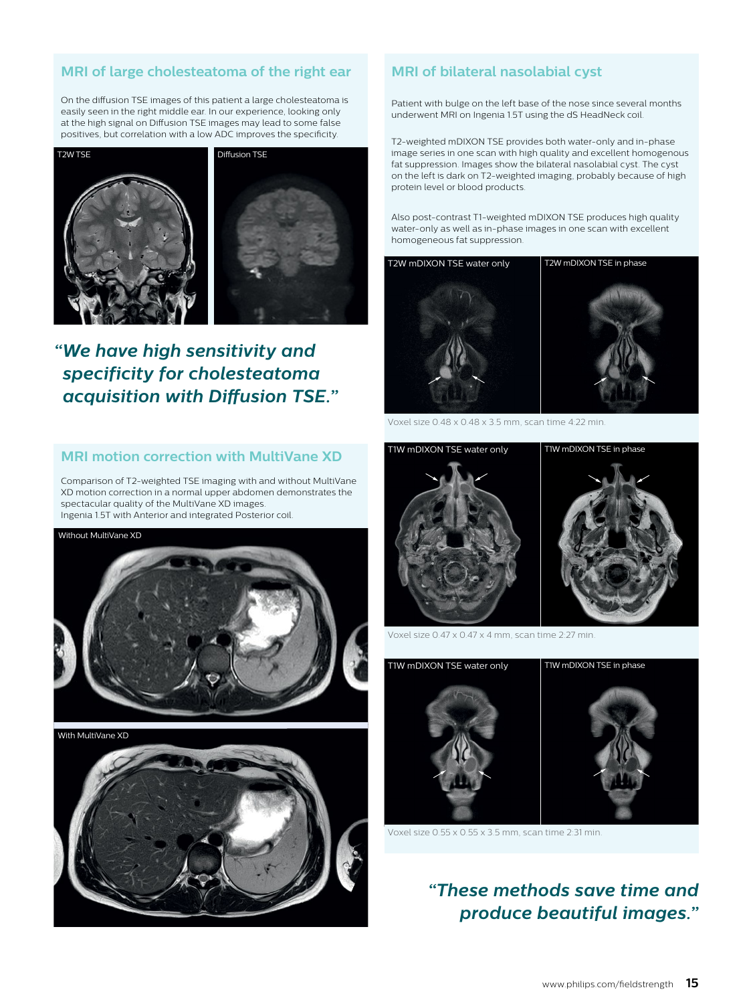# **MRI of large cholesteatoma of the right ear**

On the diffusion TSE images of this patient a large cholesteatoma is easily seen in the right middle ear. In our experience, looking only at the high signal on Diffusion TSE images may lead to some false positives, but correlation with a low ADC improves the specificity.



# *"We have high sensitivity and specificity for cholesteatoma acquisition with Diffusion TSE."*

#### **MRI motion correction with MultiVane XD**

Comparison of T2-weighted TSE imaging with and without MultiVane XD motion correction in a normal upper abdomen demonstrates the spectacular quality of the MultiVane XD images. Ingenia 1.5T with Anterior and integrated Posterior coil.





With MultiVane XD



# **MRI of bilateral nasolabial cyst**

Patient with bulge on the left base of the nose since several months underwent MRI on Ingenia 1.5T using the dS HeadNeck coil.

T2-weighted mDIXON TSE provides both water-only and in-phase image series in one scan with high quality and excellent homogenous fat suppression. Images show the bilateral nasolabial cyst. The cyst on the left is dark on T2-weighted imaging, probably because of high protein level or blood products.

Also post-contrast T1-weighted mDIXON TSE produces high quality water-only as well as in-phase images in one scan with excellent homogeneous fat suppression.



Voxel size 0.48 x 0.48 x 3.5 mm, scan time 4:22 min.



Voxel size 0.47 x 0.47 x 4 mm, scan time 2:27 min.



Voxel size 0.55 x 0.55 x 3.5 mm, scan time 2:31 min.

# *"These methods save time and produce beautiful images."*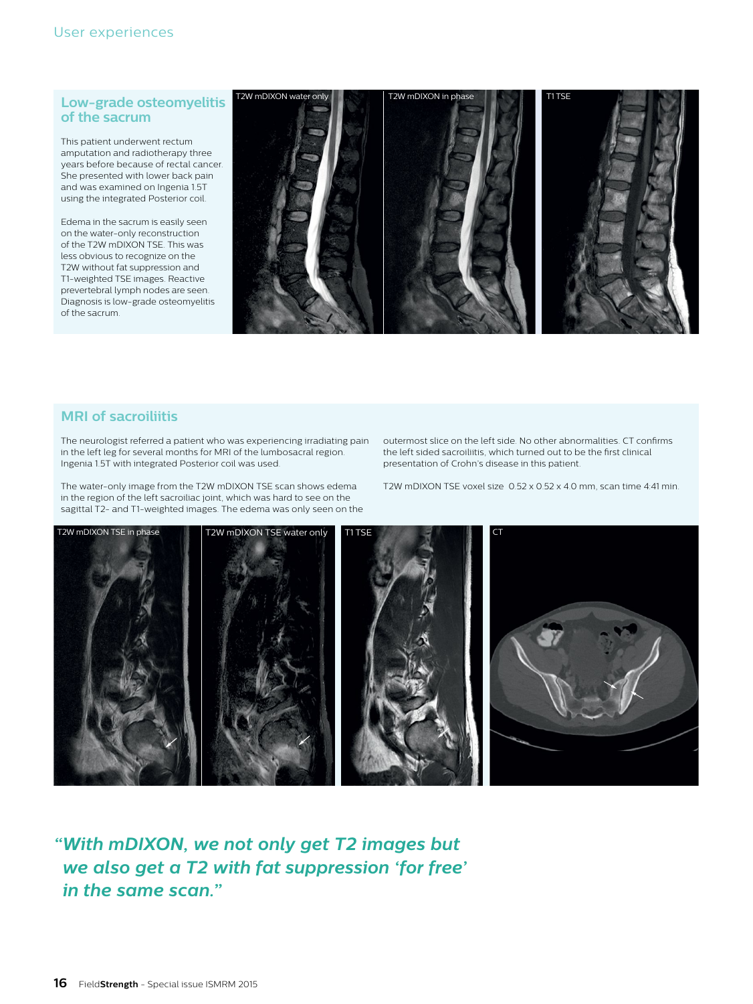#### **Low-grade osteomyelitis of the sacrum**

This patient underwent rectum amputation and radiotherapy three years before because of rectal cancer. She presented with lower back pain and was examined on Ingenia 1.5T using the integrated Posterior coil.

Edema in the sacrum is easily seen on the water-only reconstruction of the T2W mDIXON TSE. This was less obvious to recognize on the T2W without fat suppression and T1-weighted TSE images. Reactive prevertebral lymph nodes are seen. Diagnosis is low-grade osteomyelitis of the sacrum.



# **MRI of sacroiliitis**

The neurologist referred a patient who was experiencing irradiating pain in the left leg for several months for MRI of the lumbosacral region. Ingenia 1.5T with integrated Posterior coil was used.

The water-only image from the T2W mDIXON TSE scan shows edema in the region of the left sacroiliac joint, which was hard to see on the sagittal T2- and T1-weighted images. The edema was only seen on the outermost slice on the left side. No other abnormalities. CT confirms the left sided sacroiliitis, which turned out to be the first clinical presentation of Crohn's disease in this patient.

T2W mDIXON TSE voxel size 0.52 x 0.52 x 4.0 mm, scan time 4:41 min.



*"With mDIXON, we not only get T2 images but we also get a T2 with fat suppression 'for free' in the same scan."*